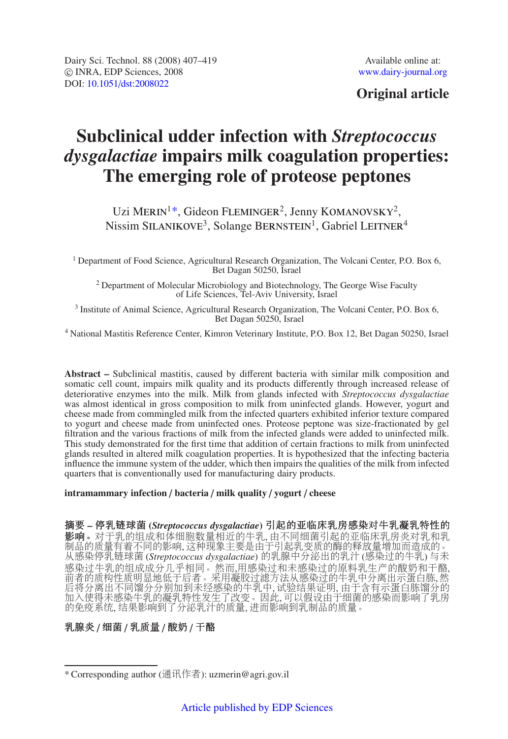# **Original article**

# **Subclinical udder infection with** *Streptococcus dysgalactiae* **impairs milk coagulation properties: The emerging role of proteose peptones**

Uzi MERIN<sup>1\*</sup>, Gideon FLEMINGER<sup>2</sup>, Jenny KOMANOVSKY<sup>2</sup>, Nissim SILANIKOVE<sup>3</sup>, Solange BERNSTEIN<sup>1</sup>, Gabriel LEITNER<sup>4</sup>

<sup>1</sup> Department of Food Science, Agricultural Research Organization, The Volcani Center, P.O. Box 6, Bet Dagan 50250, Israel

<sup>2</sup> Department of Molecular Microbiology and Biotechnology, The George Wise Faculty of Life Sciences, Tel-Aviv University, Israel

<sup>3</sup> Institute of Animal Science, Agricultural Research Organization, The Volcani Center, P.O. Box 6, Bet Dagan 50250, Israel

<sup>4</sup> National Mastitis Reference Center, Kimron Veterinary Institute, P.O. Box 12, Bet Dagan 50250, Israel

**Abstract –** Subclinical mastitis, caused by different bacteria with similar milk composition and somatic cell count, impairs milk quality and its products differently through increased release of deteriorative enzymes into the milk. Milk from glands infected with *Streptococcus dysgalactiae* was almost identical in gross composition to milk from uninfected glands. However, yogurt and cheese made from commingled milk from the infected quarters exhibited inferior texture compared to yogurt and cheese made from uninfected ones. Proteose peptone was size-fractionated by gel filtration and the various fractions of milk from the infected glands were added to uninfected milk. This study demonstrated for the first time that addition of certain fractions to milk from uninfected glands resulted in altered milk coagulation properties. It is hypothesized that the infecting bacteria influence the immune system of the udder, which then impairs the qualities of the milk from infected quarters that is conventionally used for manufacturing dairy products.

## **intramammary infection** / **bacteria** / **milk quality** / **yogurt** / **cheese**

摘要 **–** 停乳链球菌 **(***Streptococcus dysgalactiae***)** 引起的亚临床乳房感染对牛乳凝乳特性的 影响。对于乳的组成和体细胞数量相近的牛乳, 由不同细菌引起的亚临床乳房炎对乳和乳 制品的质量有着不同的影响, 这种现象主要是由于引起乳变质的酶的释放量增加而造成的。 从感染停乳链球菌 (*Streptococcus dysgalactiae*) 的乳腺中分泌出的乳汁 (感染过的牛乳) 与未 感染过牛乳的组成成分几乎相同。然而,用感染过和未感染过的原料乳生产的酸奶和干酪, 前者的质构性质明显地低于后者。采用凝胶过滤方法从感染过的牛乳中分离出示蛋白胨,然 后将分离出不同馏分分别加到未经感染的牛乳中, 试验结果证明, 由于含有示蛋白胨馏分的 加入使得未感染牛乳的凝乳特性发生了改变。因此, 可以假设由于细菌的感染而影响了乳房 的免疫系统, 结果影响到了分泌乳汁的质量, 进而影响到乳制品的质量。

乳腺炎 / 细菌 / 乳质量 / 酸奶 / 干酪

<sup>\*</sup> Corresponding author (通讯作者): uzmerin@agri.gov.il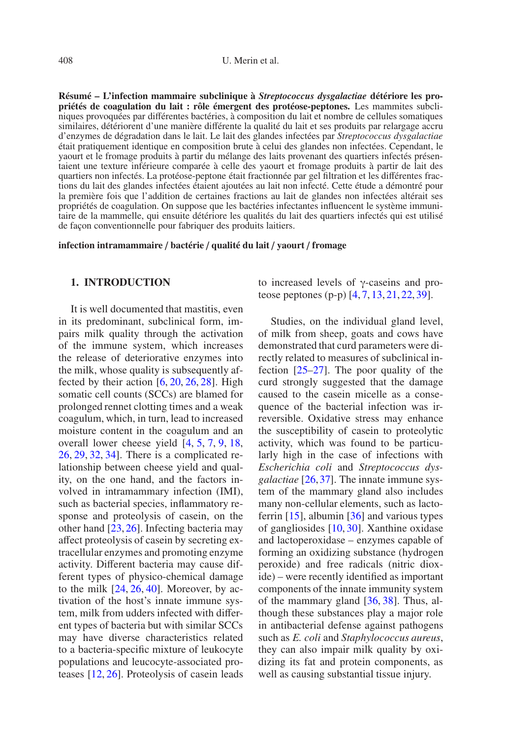**Résumé – L'infection mammaire subclinique à** *Streptococcus dysgalactiae* **détériore les propriétés de coagulation du lait : rôle émergent des protéose-peptones.** Les mammites subcliniques provoquées par différentes bactéries, à composition du lait et nombre de cellules somatiques similaires, détériorent d'une manière différente la qualité du lait et ses produits par relargage accru d'enzymes de dégradation dans le lait. Le lait des glandes infectées par *Streptococcus dysgalactiae* était pratiquement identique en composition brute à celui des glandes non infectées. Cependant, le yaourt et le fromage produits à partir du mélange des laits provenant des quartiers infectés présentaient une texture inférieure comparée à celle des yaourt et fromage produits à partir de lait des quartiers non infectés. La protéose-peptone était fractionnée par gel filtration et les différentes fractions du lait des glandes infectées étaient ajoutées au lait non infecté. Cette étude a démontré pour la première fois que l'addition de certaines fractions au lait de glandes non infectées altérait ses propriétés de coagulation. On suppose que les bactéries infectantes influencent le système immunitaire de la mammelle, qui ensuite détériore les qualités du lait des quartiers infectés qui est utilisé de façon conventionnelle pour fabriquer des produits laitiers.

**infection intramammaire** / **bactérie** / **qualité du lait** / **yaourt** / **fromage**

# **1. INTRODUCTION**

It is well documented that mastitis, even in its predominant, subclinical form, impairs milk quality through the activation of the immune system, which increases the release of deteriorative enzymes into the milk, whose quality is subsequently affected by their action  $[6, 20, 26, 28]$  $[6, 20, 26, 28]$  $[6, 20, 26, 28]$  $[6, 20, 26, 28]$  $[6, 20, 26, 28]$  $[6, 20, 26, 28]$  $[6, 20, 26, 28]$ . High somatic cell counts (SCCs) are blamed for prolonged rennet clotting times and a weak coagulum, which, in turn, lead to increased moisture content in the coagulum and an overall lower cheese yield [\[4](#page-10-1), [5](#page-10-2), [7](#page-10-3), [9](#page-10-4), [18,](#page-11-3) [26,](#page-11-1) [29](#page-11-4), [32,](#page-11-5) [34\]](#page-12-0). There is a complicated relationship between cheese yield and quality, on the one hand, and the factors involved in intramammary infection (IMI), such as bacterial species, inflammatory response and proteolysis of casein, on the other hand [\[23](#page-11-6), [26\]](#page-11-1). Infecting bacteria may affect proteolysis of casein by secreting extracellular enzymes and promoting enzyme activity. Different bacteria may cause different types of physico-chemical damage to the milk  $[24, 26, 40]$  $[24, 26, 40]$  $[24, 26, 40]$  $[24, 26, 40]$  $[24, 26, 40]$ . Moreover, by activation of the host's innate immune system, milk from udders infected with different types of bacteria but with similar SCCs may have diverse characteristics related to a bacteria-specific mixture of leukocyte populations and leucocyte-associated proteases [\[12,](#page-11-8) [26](#page-11-1)]. Proteolysis of casein leads to increased levels of γ-caseins and proteose peptones (p-p) [\[4,](#page-10-1) [7,](#page-10-3) [13](#page-11-9), [21,](#page-11-10) [22,](#page-11-11) [39\]](#page-12-2).

Studies, on the individual gland level, of milk from sheep, goats and cows have demonstrated that curd parameters were directly related to measures of subclinical infection [\[25](#page-11-12)[–27\]](#page-11-13). The poor quality of the curd strongly suggested that the damage caused to the casein micelle as a consequence of the bacterial infection was irreversible. Oxidative stress may enhance the susceptibility of casein to proteolytic activity, which was found to be particularly high in the case of infections with *Escherichia coli* and *Streptococcus dysgalactiae* [\[26](#page-11-1)[,37\]](#page-12-3). The innate immune system of the mammary gland also includes many non-cellular elements, such as lactoferrin  $[15]$  $[15]$ , albumin  $[36]$  and various types of gangliosides [\[10,](#page-10-5) [30\]](#page-11-15). Xanthine oxidase and lactoperoxidase – enzymes capable of forming an oxidizing substance (hydrogen peroxide) and free radicals (nitric dioxide) – were recently identified as important components of the innate immunity system of the mammary gland [\[36](#page-12-4), [38\]](#page-12-5). Thus, although these substances play a major role in antibacterial defense against pathogens such as *E. coli* and *Staphylococcus aureus*, they can also impair milk quality by oxidizing its fat and protein components, as well as causing substantial tissue injury.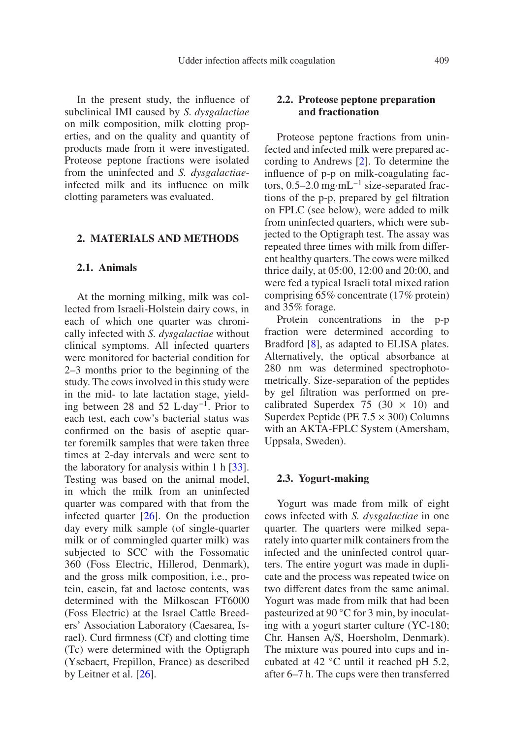In the present study, the influence of subclinical IMI caused by *S. dysgalactiae* on milk composition, milk clotting properties, and on the quality and quantity of products made from it were investigated. Proteose peptone fractions were isolated from the uninfected and *S. dysgalactiae*infected milk and its influence on milk clotting parameters was evaluated.

#### **2. MATERIALS AND METHODS**

## **2.1. Animals**

At the morning milking, milk was collected from Israeli-Holstein dairy cows, in each of which one quarter was chronically infected with *S. dysgalactiae* without clinical symptoms. All infected quarters were monitored for bacterial condition for 2–3 months prior to the beginning of the study. The cows involved in this study were in the mid- to late lactation stage, yielding between 28 and 52 L·day−1. Prior to each test, each cow's bacterial status was confirmed on the basis of aseptic quarter foremilk samples that were taken three times at 2-day intervals and were sent to the laboratory for analysis within 1 h [\[33\]](#page-12-6). Testing was based on the animal model, in which the milk from an uninfected quarter was compared with that from the infected quarter  $[26]$ . On the production day every milk sample (of single-quarter milk or of commingled quarter milk) was subjected to SCC with the Fossomatic 360 (Foss Electric, Hillerod, Denmark), and the gross milk composition, i.e., protein, casein, fat and lactose contents, was determined with the Milkoscan FT6000 (Foss Electric) at the Israel Cattle Breeders' Association Laboratory (Caesarea, Israel). Curd firmness (Cf) and clotting time (Tc) were determined with the Optigraph (Ysebaert, Frepillon, France) as described by Leitner et al. [\[26\]](#page-11-1).

# **2.2. Proteose peptone preparation and fractionation**

Proteose peptone fractions from uninfected and infected milk were prepared according to Andrews [\[2\]](#page-10-6). To determine the influence of p-p on milk-coagulating factors,  $0.5-2.0$  mg·mL<sup>-1</sup> size-separated fractions of the p-p, prepared by gel filtration on FPLC (see below), were added to milk from uninfected quarters, which were subjected to the Optigraph test. The assay was repeated three times with milk from different healthy quarters. The cows were milked thrice daily, at 05:00, 12:00 and 20:00, and were fed a typical Israeli total mixed ration comprising 65% concentrate (17% protein) and 35% forage.

Protein concentrations in the p-p fraction were determined according to Bradford [\[8](#page-10-7)], as adapted to ELISA plates. Alternatively, the optical absorbance at 280 nm was determined spectrophotometrically. Size-separation of the peptides by gel filtration was performed on precalibrated Superdex 75 (30  $\times$  10) and Superdex Peptide (PE  $7.5 \times 300$ ) Columns with an AKTA-FPLC System (Amersham, Uppsala, Sweden).

#### **2.3. Yogurt-making**

Yogurt was made from milk of eight cows infected with *S. dysgalactiae* in one quarter. The quarters were milked separately into quarter milk containers from the infected and the uninfected control quarters. The entire yogurt was made in duplicate and the process was repeated twice on two different dates from the same animal. Yogurt was made from milk that had been pasteurized at 90 ℃ for 3 min, by inoculating with a yogurt starter culture (YC-180; Chr. Hansen A/S, Hoersholm, Denmark). The mixture was poured into cups and incubated at 42 ◦C until it reached pH 5.2, after 6–7 h. The cups were then transferred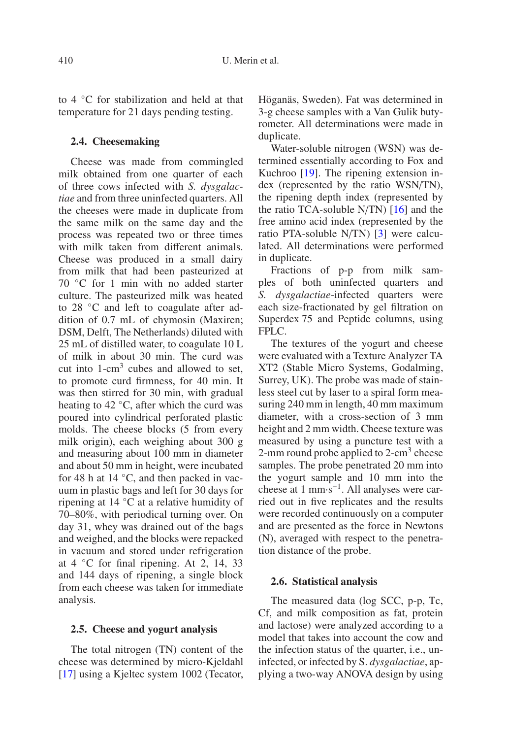to 4 ◦C for stabilization and held at that temperature for 21 days pending testing.

#### **2.4. Cheesemaking**

Cheese was made from commingled milk obtained from one quarter of each of three cows infected with *S. dysgalactiae* and from three uninfected quarters. All the cheeses were made in duplicate from the same milk on the same day and the process was repeated two or three times with milk taken from different animals. Cheese was produced in a small dairy from milk that had been pasteurized at 70 ◦C for 1 min with no added starter culture. The pasteurized milk was heated to 28 ◦C and left to coagulate after addition of 0.7 mL of chymosin (Maxiren; DSM, Delft, The Netherlands) diluted with 25 mL of distilled water, to coagulate 10 L of milk in about 30 min. The curd was cut into  $1$ -cm<sup>3</sup> cubes and allowed to set, to promote curd firmness, for 40 min. It was then stirred for 30 min, with gradual heating to 42 ℃, after which the curd was poured into cylindrical perforated plastic molds. The cheese blocks (5 from every milk origin), each weighing about 300 g and measuring about 100 mm in diameter and about 50 mm in height, were incubated for 48 h at  $14 °C$ , and then packed in vacuum in plastic bags and left for 30 days for ripening at 14 ◦C at a relative humidity of 70–80%, with periodical turning over. On day 31, whey was drained out of the bags and weighed, and the blocks were repacked in vacuum and stored under refrigeration at  $4^{\circ}$ C for final ripening. At 2, 14, 33 and 144 days of ripening, a single block from each cheese was taken for immediate analysis.

#### **2.5. Cheese and yogurt analysis**

The total nitrogen (TN) content of the cheese was determined by micro-Kjeldahl [\[17](#page-11-16)] using a Kjeltec system 1002 (Tecator, Höganäs, Sweden). Fat was determined in 3-g cheese samples with a Van Gulik butyrometer. All determinations were made in duplicate.

Water-soluble nitrogen (WSN) was determined essentially according to Fox and Kuchroo [\[19\]](#page-11-17). The ripening extension index (represented by the ratio WSN/TN), the ripening depth index (represented by the ratio TCA-soluble N/TN)  $[16]$  $[16]$  and the free amino acid index (represented by the ratio PTA-soluble N/TN) [\[3](#page-10-8)] were calculated. All determinations were performed in duplicate.

Fractions of p-p from milk samples of both uninfected quarters and *S. dysgalactiae*-infected quarters were each size-fractionated by gel filtration on Superdex 75 and Peptide columns, using FPLC.

The textures of the yogurt and cheese were evaluated with a Texture Analyzer TA XT2 (Stable Micro Systems, Godalming, Surrey, UK). The probe was made of stainless steel cut by laser to a spiral form measuring 240 mm in length, 40 mm maximum diameter, with a cross-section of 3 mm height and 2 mm width. Cheese texture was measured by using a puncture test with a 2-mm round probe applied to 2-cm<sup>3</sup> cheese samples. The probe penetrated 20 mm into the yogurt sample and 10 mm into the cheese at 1 mm·s−1. All analyses were carried out in five replicates and the results were recorded continuously on a computer and are presented as the force in Newtons (N), averaged with respect to the penetration distance of the probe.

#### **2.6. Statistical analysis**

The measured data (log SCC, p-p, Tc, Cf, and milk composition as fat, protein and lactose) were analyzed according to a model that takes into account the cow and the infection status of the quarter, i.e., uninfected, or infected by S. *dysgalactiae*, applying a two-way ANOVA design by using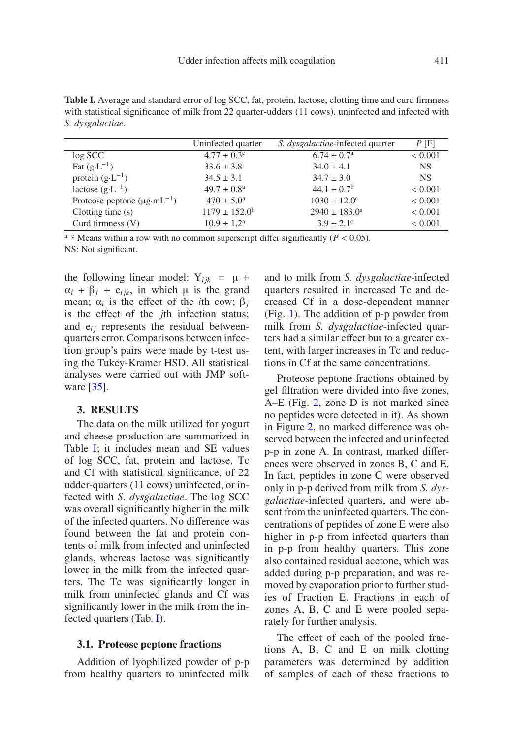<span id="page-4-0"></span>**Table I.** Average and standard error of log SCC, fat, protein, lactose, clotting time and curd firmness with statistical significance of milk from 22 quarter-udders (11 cows), uninfected and infected with *S. dysgalactiae*.

|                                          | Uninfected quarter        | S. dysgalactiae-infected quarter | $P$ [F]     |
|------------------------------------------|---------------------------|----------------------------------|-------------|
| $log$ SCC                                | $4.77 \pm 0.3^{\circ}$    | $6.74 \pm 0.7^{\rm a}$           | ${}< 0.001$ |
| Fat $(g \cdot L^{-1})$                   | $33.6 \pm 3.8$            | $34.0 \pm 4.1$                   | <b>NS</b>   |
| protein $(g \cdot L^{-1})$               | $34.5 \pm 3.1$            | $34.7 \pm 3.0$                   | <b>NS</b>   |
| lactose $(g \cdot L^{-1})$               | $49.7 \pm 0.8^{\text{a}}$ | $44.1 \pm 0.7^b$                 | ${}< 0.001$ |
| Proteose peptone $(\mu g \cdot mL^{-1})$ | $470 \pm 5.0^{\circ}$     | $1030 \pm 12.0^{\circ}$          | ${}< 0.001$ |
| Clotting time $(s)$                      | $1179 \pm 152.0^{\rm b}$  | $2940 \pm 183.0^{\circ}$         | ${}< 0.001$ |
| Curd firmness $(V)$                      | $10.9 \pm 1.2^{\text{a}}$ | $3.9 \pm 2.1$ <sup>c</sup>       | ${}< 0.001$ |

 $a-c$  Means within a row with no common superscript differ significantly ( $P < 0.05$ ). NS: Not significant.

the following linear model:  $Y_{ijk} = \mu +$  $\alpha_i + \beta_i + e_{ijk}$ , in which  $\mu$  is the grand mean;  $\alpha_i$  is the effect of the *i*th cow;  $\beta_i$ is the effect of the *j*th infection status; and  $e_{ij}$  represents the residual betweenquarters error. Comparisons between infection group's pairs were made by t-test using the Tukey-Kramer HSD. All statistical analyses were carried out with JMP software [\[35\]](#page-12-7).

# **3. RESULTS**

The data on the milk utilized for yogurt and cheese production are summarized in Table [I;](#page-4-0) it includes mean and SE values of log SCC, fat, protein and lactose, Tc and Cf with statistical significance, of 22 udder-quarters (11 cows) uninfected, or infected with *S. dysgalactiae*. The log SCC was overall significantly higher in the milk of the infected quarters. No difference was found between the fat and protein contents of milk from infected and uninfected glands, whereas lactose was significantly lower in the milk from the infected quarters. The Tc was significantly longer in milk from uninfected glands and Cf was significantly lower in the milk from the infected quarters (Tab. [I\)](#page-4-0).

#### **3.1. Proteose peptone fractions**

Addition of lyophilized powder of p-p from healthy quarters to uninfected milk and to milk from *S. dysgalactiae*-infected quarters resulted in increased Tc and decreased Cf in a dose-dependent manner (Fig. [1\)](#page-5-0). The addition of p-p powder from milk from *S. dysgalactiae*-infected quarters had a similar effect but to a greater extent, with larger increases in Tc and reductions in Cf at the same concentrations.

Proteose peptone fractions obtained by gel filtration were divided into five zones, A–E (Fig. [2,](#page-5-1) zone D is not marked since no peptides were detected in it). As shown in Figure [2,](#page-5-1) no marked difference was observed between the infected and uninfected p-p in zone A. In contrast, marked differences were observed in zones B, C and E. In fact, peptides in zone C were observed only in p-p derived from milk from *S. dysgalactiae*-infected quarters, and were absent from the uninfected quarters. The concentrations of peptides of zone E were also higher in p-p from infected quarters than in p-p from healthy quarters. This zone also contained residual acetone, which was added during p-p preparation, and was removed by evaporation prior to further studies of Fraction E. Fractions in each of zones A, B, C and E were pooled separately for further analysis.

The effect of each of the pooled fractions A, B, C and E on milk clotting parameters was determined by addition of samples of each of these fractions to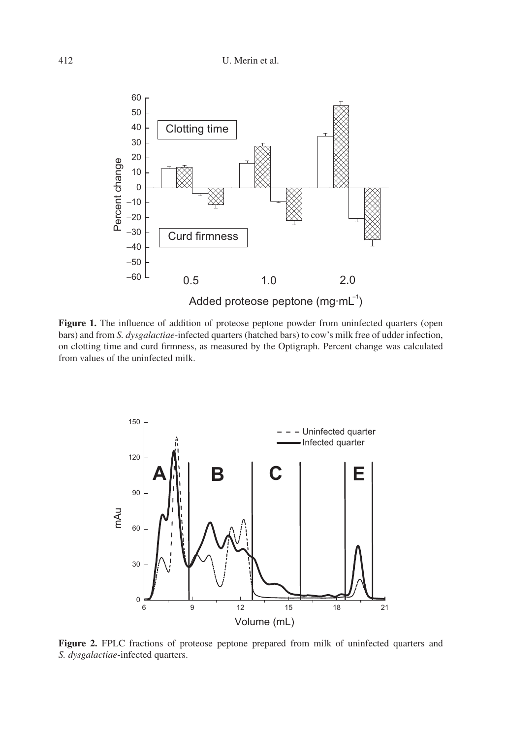<span id="page-5-0"></span>

Figure 1. The influence of addition of proteose peptone powder from uninfected quarters (open bars) and from *S. dysgalactiae*-infected quarters (hatched bars) to cow's milk free of udder infection, on clotting time and curd firmness, as measured by the Optigraph. Percent change was calculated from values of the uninfected milk.

<span id="page-5-1"></span>

**Figure 2.** FPLC fractions of proteose peptone prepared from milk of uninfected quarters and *S. dysgalactiae*-infected quarters.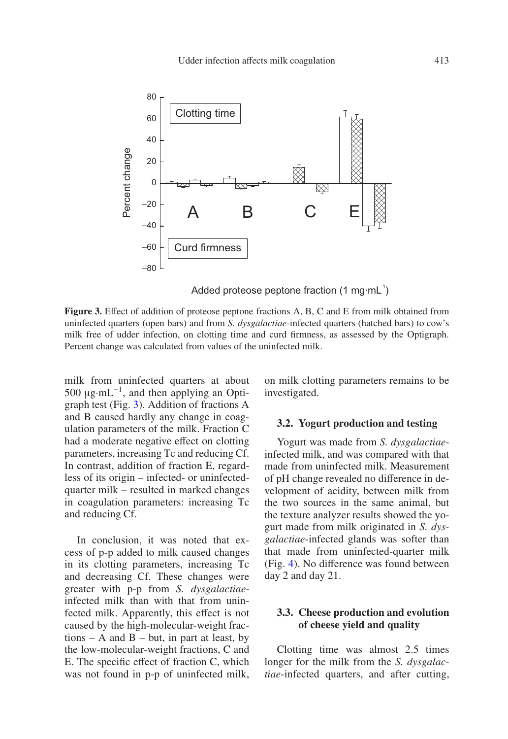<span id="page-6-0"></span>

Added proteose peptone fraction (1 mg·mL $^{\text{-}1})$ 

**Figure 3.** Effect of addition of proteose peptone fractions A, B, C and E from milk obtained from uninfected quarters (open bars) and from *S. dysgalactiae*-infected quarters (hatched bars) to cow's milk free of udder infection, on clotting time and curd firmness, as assessed by the Optigraph. Percent change was calculated from values of the uninfected milk.

milk from uninfected quarters at about 500 μg⋅mL<sup>-1</sup>, and then applying an Optigraph test (Fig. [3\)](#page-6-0). Addition of fractions A and B caused hardly any change in coagulation parameters of the milk. Fraction C had a moderate negative effect on clotting parameters, increasing Tc and reducing Cf. In contrast, addition of fraction E, regardless of its origin – infected- or uninfectedquarter milk – resulted in marked changes in coagulation parameters: increasing Tc and reducing Cf.

In conclusion, it was noted that excess of p-p added to milk caused changes in its clotting parameters, increasing Tc and decreasing Cf. These changes were greater with p-p from *S. dysgalactiae*infected milk than with that from uninfected milk. Apparently, this effect is not caused by the high-molecular-weight fractions  $- A$  and  $B - but$ , in part at least, by the low-molecular-weight fractions, C and E. The specific effect of fraction C, which was not found in p-p of uninfected milk, on milk clotting parameters remains to be investigated.

#### **3.2. Yogurt production and testing**

Yogurt was made from *S. dysgalactiae*infected milk, and was compared with that made from uninfected milk. Measurement of pH change revealed no difference in development of acidity, between milk from the two sources in the same animal, but the texture analyzer results showed the yogurt made from milk originated in *S. dysgalactiae*-infected glands was softer than that made from uninfected-quarter milk (Fig. [4\)](#page-7-0). No difference was found between day 2 and day 21.

# **3.3. Cheese production and evolution of cheese yield and quality**

Clotting time was almost 2.5 times longer for the milk from the *S. dysgalactiae*-infected quarters, and after cutting,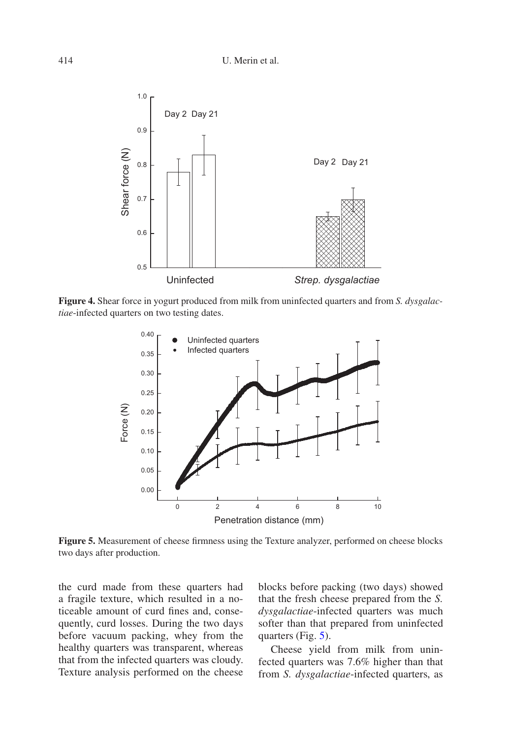<span id="page-7-0"></span>

<span id="page-7-1"></span>**Figure 4.** Shear force in yogurt produced from milk from uninfected quarters and from *S. dysgalactiae*-infected quarters on two testing dates.



**Figure 5.** Measurement of cheese firmness using the Texture analyzer, performed on cheese blocks two days after production.

the curd made from these quarters had a fragile texture, which resulted in a noticeable amount of curd fines and, consequently, curd losses. During the two days before vacuum packing, whey from the healthy quarters was transparent, whereas that from the infected quarters was cloudy. Texture analysis performed on the cheese blocks before packing (two days) showed that the fresh cheese prepared from the *S. dysgalactiae*-infected quarters was much softer than that prepared from uninfected quarters (Fig. [5\)](#page-7-1).

Cheese yield from milk from uninfected quarters was 7.6% higher than that from *S. dysgalactiae*-infected quarters, as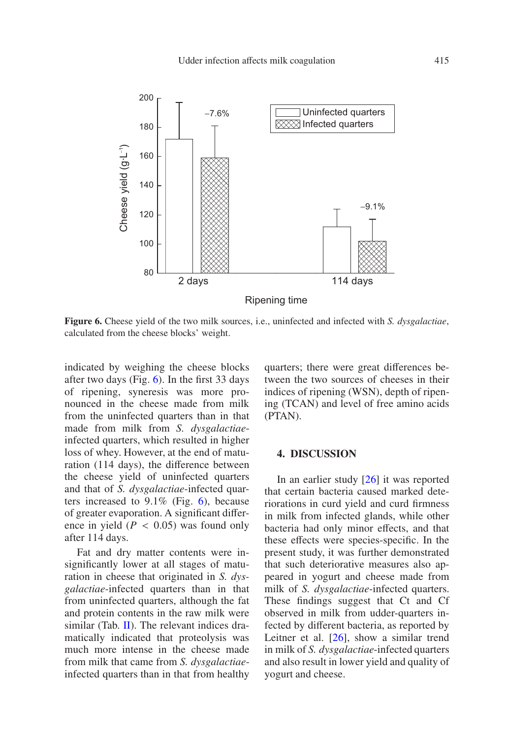<span id="page-8-0"></span>

**Figure 6.** Cheese yield of the two milk sources, i.e., uninfected and infected with *S. dysgalactiae*, calculated from the cheese blocks' weight.

indicated by weighing the cheese blocks after two days (Fig.  $6$ ). In the first 33 days of ripening, syneresis was more pronounced in the cheese made from milk from the uninfected quarters than in that made from milk from *S. dysgalactiae*infected quarters, which resulted in higher loss of whey. However, at the end of maturation (114 days), the difference between the cheese yield of uninfected quarters and that of *S. dysgalactiae*-infected quarters increased to  $9.1\%$  (Fig. [6\)](#page-8-0), because of greater evaporation. A significant difference in yield  $(P < 0.05)$  was found only after 114 days.

Fat and dry matter contents were insignificantly lower at all stages of maturation in cheese that originated in *S. dysgalactiae*-infected quarters than in that from uninfected quarters, although the fat and protein contents in the raw milk were similar (Tab. [II\)](#page-9-0). The relevant indices dramatically indicated that proteolysis was much more intense in the cheese made from milk that came from *S. dysgalactiae*infected quarters than in that from healthy quarters; there were great differences between the two sources of cheeses in their indices of ripening (WSN), depth of ripening (TCAN) and level of free amino acids (PTAN).

#### **4. DISCUSSION**

In an earlier study [\[26\]](#page-11-1) it was reported that certain bacteria caused marked deteriorations in curd yield and curd firmness in milk from infected glands, while other bacteria had only minor effects, and that these effects were species-specific. In the present study, it was further demonstrated that such deteriorative measures also appeared in yogurt and cheese made from milk of *S. dysgalactiae*-infected quarters. These findings suggest that Ct and Cf observed in milk from udder-quarters infected by different bacteria, as reported by Leitner et al. [\[26\]](#page-11-1), show a similar trend in milk of *S. dysgalactiae*-infected quarters and also result in lower yield and quality of yogurt and cheese.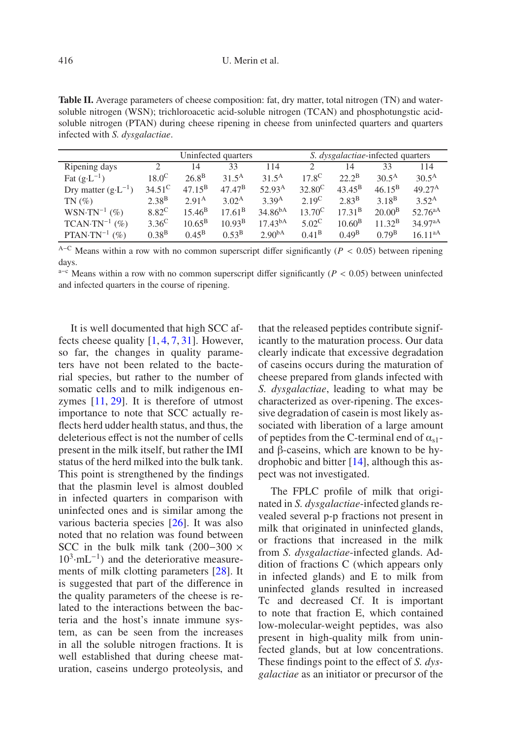<span id="page-9-0"></span>**Table II.** Average parameters of cheese composition: fat, dry matter, total nitrogen *(TN)* and watersoluble nitrogen (WSN); trichloroacetic acid-soluble nitrogen (TCAN) and phosphotungstic acidsoluble nitrogen (PTAN) during cheese ripening in cheese from uninfected quarters and quarters infected with *S. dysgalactiae*.

|                                        | Uninfected quarters |                   |                    | S. <i>dysgalactiae</i> -infected quarters |                 |                    |                    |                    |
|----------------------------------------|---------------------|-------------------|--------------------|-------------------------------------------|-----------------|--------------------|--------------------|--------------------|
| Ripening days                          | $\mathcal{D}$       | 14                | 33                 | 114                                       |                 | 14                 | 33                 | 114                |
| Fat $(g \cdot L^{-1})$                 | $18.0^{\circ}$      | $26.8^{\rm B}$    | 31.5 <sup>A</sup>  | $31.5^{\rm A}$                            | $17.8^{\circ}$  | 22.2 <sup>B</sup>  | $30.5^{\rm A}$     | $30.5^{\rm A}$     |
| Dry matter $(g \cdot L^{-1})$          | $34.51^{\circ}$     | $47.15^{\rm B}$   | $47.47^{\rm B}$    | 52.93 <sup>A</sup>                        | $32.80^{\circ}$ | $43.45^{\rm B}$    | $46.15^{\rm B}$    | 49.27 <sup>A</sup> |
| TN(%)                                  | 2.38 <sup>B</sup>   | 2.91 <sup>A</sup> | 3.02 <sup>A</sup>  | 3.39 <sup>A</sup>                         | $2.19^{\circ}$  | 2.83 <sup>B</sup>  | 3.18 <sup>B</sup>  | 3.52 <sup>A</sup>  |
| $WSN\text{-}TN^{-1}$ (%)               | $8.82^C$            | $15.46^{\rm B}$   | $17.61^{\rm B}$    | $34.86^{bA}$                              | $13.70^{\circ}$ | $1731^{\rm B}$     | 20.00 <sup>B</sup> | $52.76^{aA}$       |
| $TCAN-TN^{-1}$ (%)                     | $3.36^{\circ}$      | $10.65^{\rm B}$   | 10.93 <sup>B</sup> | 17.43 <sup>bA</sup>                       | $5.02^{\circ}$  | 10.60 <sup>B</sup> | 11.32 <sup>B</sup> | 34.97aA            |
| $PTAN\cdot TN^{-1}$<br>$\mathcal{O}_0$ | $0.38^{B}$          | $0.45^{\rm B}$    | $0.53^{\rm B}$     | $2.90^{bA}$                               | $0.41^{\rm B}$  | 0.49 <sup>B</sup>  | 0.79 <sup>B</sup>  | $16.11^{aA}$       |

A<sup>-C</sup> Means within a row with no common superscript differ significantly ( $P < 0.05$ ) between ripening days.

<sup>a</sup>−<sup>c</sup> Means within a row with no common superscript differ significantly (*P* < 0.05) between uninfected and infected quarters in the course of ripening.

It is well documented that high SCC affects cheese quality [\[1,](#page-10-9) [4,](#page-10-1) [7,](#page-10-3) [31\]](#page-11-19). However, so far, the changes in quality parameters have not been related to the bacterial species, but rather to the number of somatic cells and to milk indigenous enzymes [\[11,](#page-11-20) [29\]](#page-11-4). It is therefore of utmost importance to note that SCC actually reflects herd udder health status, and thus, the deleterious effect is not the number of cells present in the milk itself, but rather the IMI status of the herd milked into the bulk tank. This point is strengthened by the findings that the plasmin level is almost doubled in infected quarters in comparison with uninfected ones and is similar among the various bacteria species [\[26\]](#page-11-1). It was also noted that no relation was found between SCC in the bulk milk tank (200−300 ×  $10^3 \cdot mL^{-1}$ ) and the deteriorative measurements of milk clotting parameters [\[28\]](#page-11-2). It is suggested that part of the difference in the quality parameters of the cheese is related to the interactions between the bacteria and the host's innate immune system, as can be seen from the increases in all the soluble nitrogen fractions. It is well established that during cheese maturation, caseins undergo proteolysis, and that the released peptides contribute significantly to the maturation process. Our data clearly indicate that excessive degradation of caseins occurs during the maturation of cheese prepared from glands infected with *S. dysgalactiae*, leading to what may be characterized as over-ripening. The excessive degradation of casein is most likely associated with liberation of a large amount of peptides from the C-terminal end of  $\alpha_{s1}$ and β-caseins, which are known to be hydrophobic and bitter [\[14\]](#page-11-21), although this aspect was not investigated.

The FPLC profile of milk that originated in *S. dysgalactiae*-infected glands revealed several p-p fractions not present in milk that originated in uninfected glands, or fractions that increased in the milk from *S. dysgalactiae*-infected glands. Addition of fractions C (which appears only in infected glands) and E to milk from uninfected glands resulted in increased Tc and decreased Cf. It is important to note that fraction E, which contained low-molecular-weight peptides, was also present in high-quality milk from uninfected glands, but at low concentrations. These findings point to the effect of *S. dysgalactiae* as an initiator or precursor of the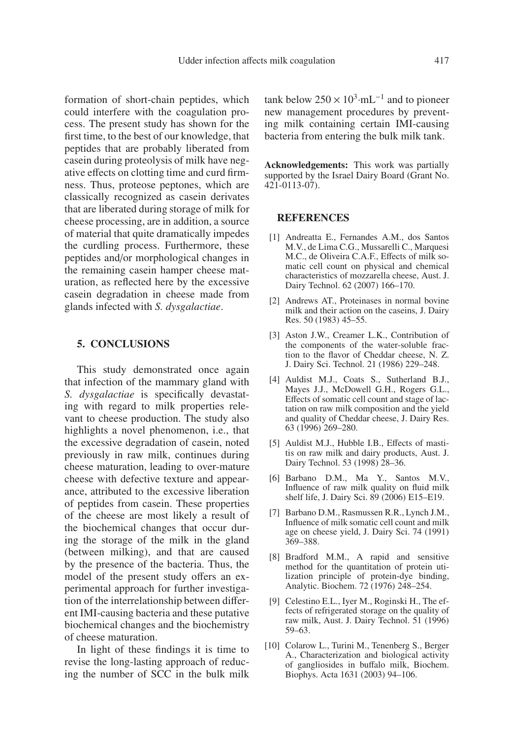formation of short-chain peptides, which could interfere with the coagulation process. The present study has shown for the first time, to the best of our knowledge, that peptides that are probably liberated from casein during proteolysis of milk have negative effects on clotting time and curd firmness. Thus, proteose peptones, which are classically recognized as casein derivates that are liberated during storage of milk for cheese processing, are in addition, a source of material that quite dramatically impedes the curdling process. Furthermore, these peptides and/or morphological changes in the remaining casein hamper cheese maturation, as reflected here by the excessive casein degradation in cheese made from glands infected with *S. dysgalactiae*.

# **5. CONCLUSIONS**

This study demonstrated once again that infection of the mammary gland with *S. dysgalactiae* is specifically devastating with regard to milk properties relevant to cheese production. The study also highlights a novel phenomenon, i.e., that the excessive degradation of casein, noted previously in raw milk, continues during cheese maturation, leading to over-mature cheese with defective texture and appearance, attributed to the excessive liberation of peptides from casein. These properties of the cheese are most likely a result of the biochemical changes that occur during the storage of the milk in the gland (between milking), and that are caused by the presence of the bacteria. Thus, the model of the present study offers an experimental approach for further investigation of the interrelationship between different IMI-causing bacteria and these putative biochemical changes and the biochemistry of cheese maturation.

In light of these findings it is time to revise the long-lasting approach of reducing the number of SCC in the bulk milk tank below  $250 \times 10^3 \cdot mL^{-1}$  and to pioneer new management procedures by preventing milk containing certain IMI-causing bacteria from entering the bulk milk tank.

**Acknowledgements:** This work was partially supported by the Israel Dairy Board (Grant No. 421-0113-07).

# **REFERENCES**

- <span id="page-10-9"></span>[1] Andreatta E., Fernandes A.M., dos Santos M.V., de Lima C.G., Mussarelli C., Marquesi M.C., de Oliveira C.A.F., Effects of milk somatic cell count on physical and chemical characteristics of mozzarella cheese, Aust. J. Dairy Technol. 62 (2007) 166–170.
- <span id="page-10-6"></span>[2] Andrews AT., Proteinases in normal bovine milk and their action on the caseins, J. Dairy Res. 50 (1983) 45–55.
- <span id="page-10-8"></span>[3] Aston J.W., Creamer L.K., Contribution of the components of the water-soluble fraction to the flavor of Cheddar cheese, N. Z. J. Dairy Sci. Technol. 21 (1986) 229–248.
- <span id="page-10-1"></span>[4] Auldist M.J., Coats S., Sutherland B.J., Mayes J.J., McDowell G.H., Rogers G.L., Effects of somatic cell count and stage of lactation on raw milk composition and the yield and quality of Cheddar cheese, J. Dairy Res. 63 (1996) 269–280.
- <span id="page-10-2"></span>[5] Auldist M.J., Hubble I.B., Effects of mastitis on raw milk and dairy products, Aust. J. Dairy Technol. 53 (1998) 28–36.
- <span id="page-10-0"></span>[6] Barbano D.M., Ma Y., Santos M.V., Influence of raw milk quality on fluid milk shelf life, J. Dairy Sci. 89 (2006) E15–E19.
- <span id="page-10-3"></span>[7] Barbano D.M., Rasmussen R.R., Lynch J.M., Influence of milk somatic cell count and milk age on cheese yield, J. Dairy Sci. 74 (1991) 369–388.
- <span id="page-10-7"></span>[8] Bradford M.M., A rapid and sensitive method for the quantitation of protein utilization principle of protein-dye binding, Analytic. Biochem. 72 (1976) 248–254.
- <span id="page-10-4"></span>[9] Celestino E.L., Iyer M., Roginski H., The effects of refrigerated storage on the quality of raw milk, Aust. J. Dairy Technol. 51 (1996) 59–63.
- <span id="page-10-5"></span>[10] Colarow L., Turini M., Tenenberg S., Berger A., Characterization and biological activity of gangliosides in buffalo milk, Biochem. Biophys. Acta 1631 (2003) 94–106.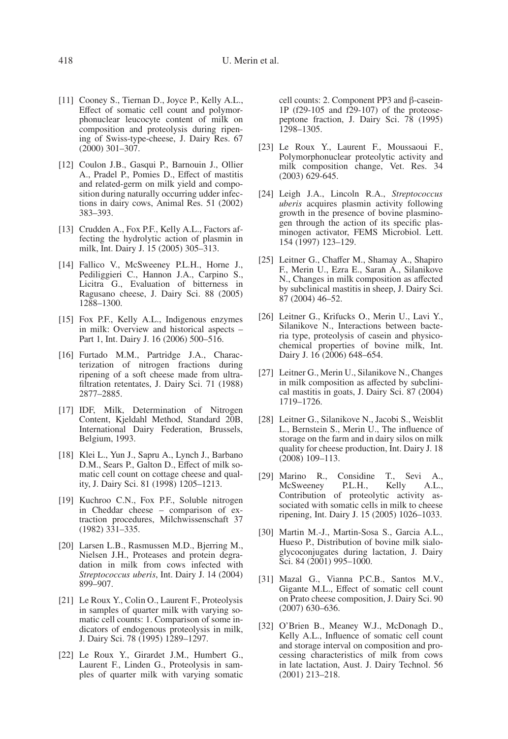- <span id="page-11-20"></span>[11] Cooney S., Tiernan D., Joyce P., Kelly A.L., Effect of somatic cell count and polymorphonuclear leucocyte content of milk on composition and proteolysis during ripening of Swiss-type-cheese, J. Dairy Res. 67 (2000) 301–307.
- <span id="page-11-8"></span>[12] Coulon J.B., Gasqui P., Barnouin J., Ollier A., Pradel P., Pomies D., Effect of mastitis and related-germ on milk yield and composition during naturally occurring udder infections in dairy cows, Animal Res. 51 (2002) 383–393.
- <span id="page-11-9"></span>[13] Crudden A., Fox P.F., Kelly A.L., Factors affecting the hydrolytic action of plasmin in milk, Int. Dairy J. 15 (2005) 305–313.
- <span id="page-11-21"></span>[14] Fallico V., McSweeney P.L.H., Horne J., Pediliggieri C., Hannon J.A., Carpino S., Licitra G., Evaluation of bitterness in Ragusano cheese, J. Dairy Sci. 88 (2005) 1288–1300.
- <span id="page-11-14"></span>[15] Fox P.F., Kelly A.L., Indigenous enzymes in milk: Overview and historical aspects – Part 1, Int. Dairy J. 16 (2006) 500–516.
- <span id="page-11-18"></span>[16] Furtado M.M., Partridge J.A., Characterization of nitrogen fractions during ripening of a soft cheese made from ultrafiltration retentates, J. Dairy Sci. 71 (1988) 2877–2885.
- <span id="page-11-16"></span>[17] IDF, Milk, Determination of Nitrogen Content, Kjeldahl Method, Standard 20B, International Dairy Federation, Brussels, Belgium, 1993.
- <span id="page-11-3"></span>[18] Klei L., Yun J., Sapru A., Lynch J., Barbano D.M., Sears P., Galton D., Effect of milk somatic cell count on cottage cheese and quality, J. Dairy Sci. 81 (1998) 1205–1213.
- <span id="page-11-17"></span>[19] Kuchroo C.N., Fox P.F., Soluble nitrogen in Cheddar cheese – comparison of extraction procedures, Milchwissenschaft 37 (1982) 331–335.
- <span id="page-11-0"></span>[20] Larsen L.B., Rasmussen M.D., Bjerring M., Nielsen J.H., Proteases and protein degradation in milk from cows infected with *Streptococcus uberis*, Int. Dairy J. 14 (2004) 899–907.
- <span id="page-11-10"></span>[21] Le Roux Y., Colin O., Laurent F., Proteolysis in samples of quarter milk with varying somatic cell counts: 1. Comparison of some indicators of endogenous proteolysis in milk, J. Dairy Sci. 78 (1995) 1289–1297.
- <span id="page-11-11"></span>[22] Le Roux Y., Girardet J.M., Humbert G., Laurent F., Linden G., Proteolysis in samples of quarter milk with varying somatic

cell counts: 2. Component PP3 and β-casein-1P (f29-105 and f29-107) of the proteosepeptone fraction, J. Dairy Sci. 78 (1995) 1298–1305.

- <span id="page-11-6"></span>[23] Le Roux Y., Laurent F., Moussaoui F., Polymorphonuclear proteolytic activity and milk composition change, Vet. Res. 34 (2003) 629-645.
- <span id="page-11-7"></span>[24] Leigh J.A., Lincoln R.A., *Streptococcus uberis* acquires plasmin activity following growth in the presence of bovine plasminogen through the action of its specific plasminogen activator, FEMS Microbiol. Lett. 154 (1997) 123–129.
- <span id="page-11-12"></span>[25] Leitner G., Chaffer M., Shamay A., Shapiro F., Merin U., Ezra E., Saran A., Silanikove N., Changes in milk composition as affected by subclinical mastitis in sheep, J. Dairy Sci. 87 (2004) 46–52.
- <span id="page-11-1"></span>[26] Leitner G., Krifucks O., Merin U., Lavi Y., Silanikove N., Interactions between bacteria type, proteolysis of casein and physicochemical properties of bovine milk, Int. Dairy J. 16 (2006) 648–654.
- <span id="page-11-13"></span>[27] Leitner G., Merin U., Silanikove N., Changes in milk composition as affected by subclinical mastitis in goats, J. Dairy Sci. 87 (2004) 1719–1726.
- <span id="page-11-2"></span>[28] Leitner G., Silanikove N., Jacobi S., Weisblit L., Bernstein S., Merin U., The influence of storage on the farm and in dairy silos on milk quality for cheese production, Int. Dairy J. 18 (2008) 109–113.
- <span id="page-11-4"></span>[29] Marino R., Considine T., Sevi A., **McSweeney** Contribution of proteolytic activity associated with somatic cells in milk to cheese ripening, Int. Dairy J. 15 (2005) 1026–1033.
- <span id="page-11-15"></span>[30] Martin M.-J., Martin-Sosa S., Garcia A.L., Hueso P., Distribution of bovine milk sialoglycoconjugates during lactation, J. Dairy Sci. 84 (2001) 995-1000.
- <span id="page-11-19"></span>[31] Mazal G., Vianna P.C.B., Santos M.V., Gigante M.L., Effect of somatic cell count on Prato cheese composition, J. Dairy Sci. 90 (2007) 630–636.
- <span id="page-11-5"></span>[32] O'Brien B., Meaney W.J., McDonagh D., Kelly A.L., Influence of somatic cell count and storage interval on composition and processing characteristics of milk from cows in late lactation, Aust. J. Dairy Technol. 56 (2001) 213–218.